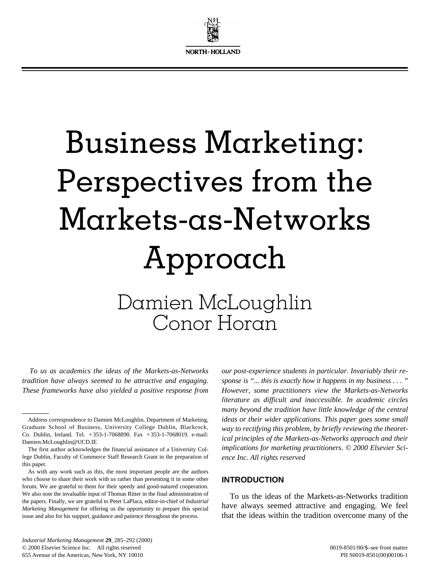

# Business Marketing: Perspectives from the Markets-as-Networks Approach

Damien McLoughlin Conor Horan

*To us as academics the ideas of the Markets-as-Networks tradition have always seemed to be attractive and engaging. These frameworks have also yielded a positive response from*

*our post-experience students in particular. Invariably their response is "... this is exactly how it happens in my business . . . " However, some practitioners view the Markets-as-Networks literature as difficult and inaccessible. In academic circles many beyond the tradition have little knowledge of the central ideas or their wider applications. This paper goes some small way to rectifying this problem, by briefly reviewing the theoretical principles of the Markets-as-Networks approach and their implications for marketing practitioners. © 2000 Elsevier Science Inc. All rights reserved*

#### **INTRODUCTION**

To us the ideas of the Markets-as-Networks tradition have always seemed attractive and engaging. We feel that the ideas within the tradition overcome many of the

Address correspondence to Damien McLoughlin, Department of Marketing, Graduate School of Business, University College Dublin, Blackrock, Co. Dublin, Ireland. Tel. 1353-1-7068890. Fax 1353-1-7068019. e-mail: Damien.McLoughlin@UCD.IE

The first author acknowledges the financial assistance of a University College Dublin, Faculty of Commerce Staff Research Grant in the preparation of this paper.

As with any work such as this, the most important people are the authors who choose to share their work with us rather than presenting it in some other forum. We are grateful to them for their speedy and good-natured cooperation. We also note the invaluable input of Thomas Ritter in the final administration of the papers. Finally, we are grateful to Peter LaPlaca, editor-in-chief of *Industrial Marketing Management* for offering us the opportunity to prepare this special issue and also for his support, guidance and patience throughout the process.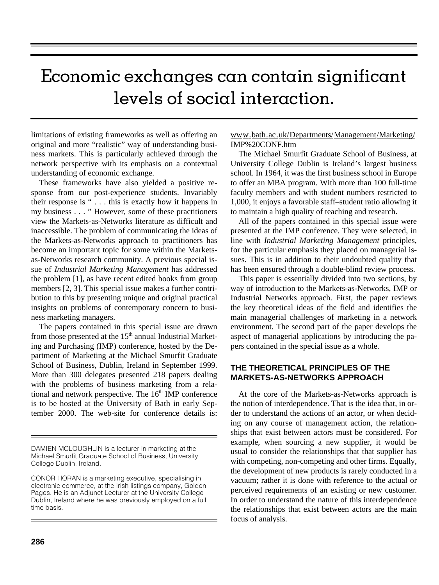## Economic exchanges can contain significant levels of social interaction.

limitations of existing frameworks as well as offering an original and more "realistic" way of understanding business markets. This is particularly achieved through the network perspective with its emphasis on a contextual understanding of economic exchange.

These frameworks have also yielded a positive response from our post-experience students. Invariably their response is " . . . this is exactly how it happens in my business . . . " However, some of these practitioners view the Markets-as-Networks literature as difficult and inaccessible. The problem of communicating the ideas of the Markets-as-Networks approach to practitioners has become an important topic for some within the Marketsas-Networks research community. A previous special issue of *Industrial Marketing Management* has addressed the problem [1], as have recent edited books from group members [2, 3]. This special issue makes a further contribution to this by presenting unique and original practical insights on problems of contemporary concern to business marketing managers.

The papers contained in this special issue are drawn from those presented at the  $15<sup>th</sup>$  annual Industrial Marketing and Purchasing (IMP) conference, hosted by the Department of Marketing at the Michael Smurfit Graduate School of Business, Dublin, Ireland in September 1999. More than 300 delegates presented 218 papers dealing with the problems of business marketing from a relational and network perspective. The  $16<sup>th</sup>$  IMP conference is to be hosted at the University of Bath in early September 2000. The web-site for conference details is:

www.bath.ac.uk/Departments/Management/Marketing/ IMP%20CONF.htm

The Michael Smurfit Graduate School of Business, at University College Dublin is Ireland's largest business school. In 1964, it was the first business school in Europe to offer an MBA program. With more than 100 full-time faculty members and with student numbers restricted to 1,000, it enjoys a favorable staff–student ratio allowing it to maintain a high quality of teaching and research.

All of the papers contained in this special issue were presented at the IMP conference. They were selected, in line with *Industrial Marketing Management* principles, for the particular emphasis they placed on managerial issues. This is in addition to their undoubted quality that has been ensured through a double-blind review process.

This paper is essentially divided into two sections, by way of introduction to the Markets-as-Networks, IMP or Industrial Networks approach. First, the paper reviews the key theoretical ideas of the field and identifies the main managerial challenges of marketing in a network environment. The second part of the paper develops the aspect of managerial applications by introducing the papers contained in the special issue as a whole.

### **THE THEORETICAL PRINCIPLES OF THE MARKETS-AS-NETWORKS APPROACH**

At the core of the Markets-as-Networks approach is the notion of interdependence. That is the idea that, in order to understand the actions of an actor, or when deciding on any course of management action, the relationships that exist between actors must be considered. For example, when sourcing a new supplier, it would be usual to consider the relationships that that supplier has with competing, non-competing and other firms. Equally, the development of new products is rarely conducted in a vacuum; rather it is done with reference to the actual or perceived requirements of an existing or new customer. In order to understand the nature of this interdependence the relationships that exist between actors are the main focus of analysis.

DAMIEN MCLOUGHLIN is a lecturer in marketing at the Michael Smurfit Graduate School of Business, University College Dublin, Ireland.

CONOR HORAN is a marketing executive, specialising in electronic commerce, at the Irish listings company, Golden Pages. He is an Adjunct Lecturer at the University College Dublin, Ireland where he was previously employed on a full time basis.